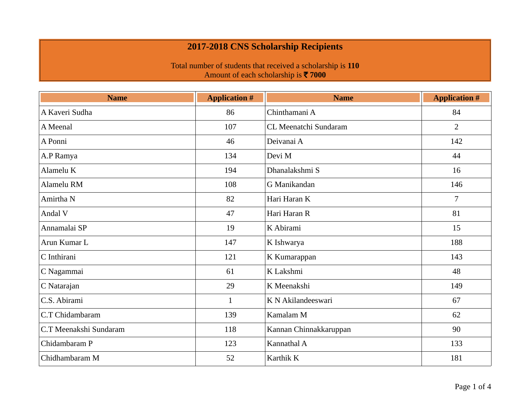| <b>Name</b>            | <b>Application #</b> | <b>Name</b>            | <b>Application #</b> |
|------------------------|----------------------|------------------------|----------------------|
| A Kaveri Sudha         | 86                   | Chinthamani A          | 84                   |
| A Meenal               | 107                  | CL Meenatchi Sundaram  | $\overline{2}$       |
| A Ponni                | 46                   | Deivanai A             | 142                  |
| A.P Ramya              | 134                  | Devi M                 | 44                   |
| Alamelu K              | 194                  | Dhanalakshmi S         | 16                   |
| Alamelu RM             | 108                  | G Manikandan           | 146                  |
| Amirtha N              | 82                   | Hari Haran K           | $\overline{7}$       |
| Andal V                | 47                   | Hari Haran R           | 81                   |
| Annamalai SP           | 19                   | K Abirami              | 15                   |
| Arun Kumar L           | 147                  | K Ishwarya             | 188                  |
| C Inthirani            | 121                  | K Kumarappan           | 143                  |
| C Nagammai             | 61                   | K Lakshmi              | 48                   |
| C Natarajan            | 29                   | K Meenakshi            | 149                  |
| C.S. Abirami           | $\mathbf{1}$         | K N Akilandeeswari     | 67                   |
| C.T Chidambaram        | 139                  | Kamalam M              | 62                   |
| C.T Meenakshi Sundaram | 118                  | Kannan Chinnakkaruppan | 90                   |
| Chidambaram P          | 123                  | Kannathal A            | 133                  |
| Chidhambaram M         | 52                   | Karthik K              | 181                  |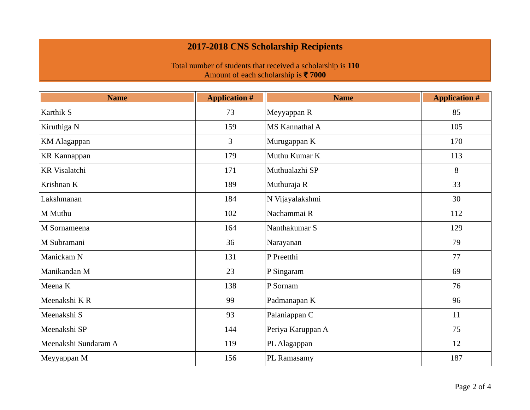| <b>Name</b>          | <b>Application #</b> | <b>Name</b>       | <b>Application #</b> |
|----------------------|----------------------|-------------------|----------------------|
| Karthik S            | 73                   | Meyyappan R       | 85                   |
| Kiruthiga N          | 159                  | MS Kannathal A    | 105                  |
| <b>KM</b> Alagappan  | 3                    | Murugappan K      | 170                  |
| <b>KR</b> Kannappan  | 179                  | Muthu Kumar K     | 113                  |
| <b>KR</b> Visalatchi | 171                  | Muthualazhi SP    | 8                    |
| Krishnan K           | 189                  | Muthuraja R       | 33                   |
| Lakshmanan           | 184                  | N Vijayalakshmi   | 30                   |
| M Muthu              | 102                  | Nachammai R       | 112                  |
| M Sornameena         | 164                  | Nanthakumar S     | 129                  |
| M Subramani          | 36                   | Narayanan         | 79                   |
| Manickam N           | 131                  | P Preetthi        | 77                   |
| Manikandan M         | 23                   | P Singaram        | 69                   |
| Meena K              | 138                  | P Sornam          | 76                   |
| Meenakshi K R        | 99                   | Padmanapan K      | 96                   |
| Meenakshi S          | 93                   | Palaniappan C     | 11                   |
| Meenakshi SP         | 144                  | Periya Karuppan A | 75                   |
| Meenakshi Sundaram A | 119                  | PL Alagappan      | 12                   |
| Meyyappan M          | 156                  | PL Ramasamy       | 187                  |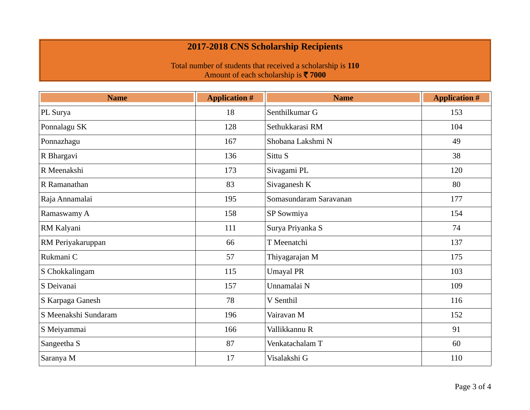| <b>Name</b>          | <b>Application #</b> | <b>Name</b>            | <b>Application #</b> |
|----------------------|----------------------|------------------------|----------------------|
| PL Surya             | 18                   | Senthilkumar G         | 153                  |
| Ponnalagu SK         | 128                  | Sethukkarasi RM        | 104                  |
| Ponnazhagu           | 167                  | Shobana Lakshmi N      | 49                   |
| R Bhargavi           | 136                  | Sittu S                | 38                   |
| R Meenakshi          | 173                  | Sivagami PL            | 120                  |
| R Ramanathan         | 83                   | Sivaganesh K           | 80                   |
| Raja Annamalai       | 195                  | Somasundaram Saravanan | 177                  |
| Ramaswamy A          | 158                  | SP Sowmiya             | 154                  |
| RM Kalyani           | 111                  | Surya Priyanka S       | 74                   |
| RM Periyakaruppan    | 66                   | T Meenatchi            | 137                  |
| Rukmani C            | 57                   | Thiyagarajan M         | 175                  |
| S Chokkalingam       | 115                  | <b>Umayal PR</b>       | 103                  |
| S Deivanai           | 157                  | Unnamalai N            | 109                  |
| S Karpaga Ganesh     | 78                   | V Senthil              | 116                  |
| S Meenakshi Sundaram | 196                  | Vairavan M             | 152                  |
| S Meiyammai          | 166                  | Vallikkannu R          | 91                   |
| Sangeetha S          | 87                   | Venkatachalam T        | 60                   |
| Saranya M            | 17                   | Visalakshi G           | 110                  |